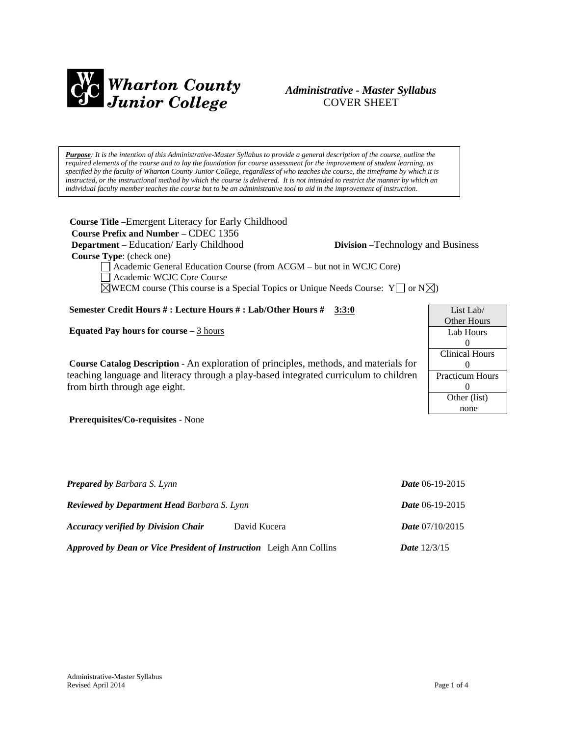

# *Administrative - Master Syllabus*  COVER SHEET

*Purpose: It is the intention of this Administrative-Master Syllabus to provide a general description of the course, outline the required elements of the course and to lay the foundation for course assessment for the improvement of student learning, as specified by the faculty of Wharton County Junior College, regardless of who teaches the course, the timeframe by which it is instructed, or the instructional method by which the course is delivered. It is not intended to restrict the manner by which an individual faculty member teaches the course but to be an administrative tool to aid in the improvement of instruction.*

**Course Title** –Emergent Literacy for Early Childhood  **Course Prefix and Number** – CDEC 1356  **Department** – Education/ Early Childhood **Division** –Technology and Business  **Course Type**: (check one) Academic General Education Course (from ACGM – but not in WCJC Core)

List Lab/ Other Hours Lab Hours 0 Clinical Hours 0 Practicum Hours 0 Other (list) none

Academic WCJC Core Course

 $\boxtimes$ WECM course (This course is a Special Topics or Unique Needs Course: Y  $\Box$  or N $\boxtimes$ )

## **Semester Credit Hours # : Lecture Hours # : Lab/Other Hours # 3:3:0**

**Equated Pay hours for course** – 3 hours

**Course Catalog Description** - An exploration of principles, methods, and materials for teaching language and literacy through a play-based integrated curriculum to children from birth through age eight.

**Prerequisites/Co-requisites** - None

| <b>Prepared by Barbara S. Lynn</b><br><b>Reviewed by Department Head Barbara S. Lynn</b> |              | Date 06-19-2015          |
|------------------------------------------------------------------------------------------|--------------|--------------------------|
|                                                                                          |              | Date 06-19-2015          |
| <b>Accuracy verified by Division Chair</b>                                               | David Kucera | <i>Date</i> $07/10/2015$ |
| Approved by Dean or Vice President of Instruction Leigh Ann Collins                      |              | <b>Date</b> $12/3/15$    |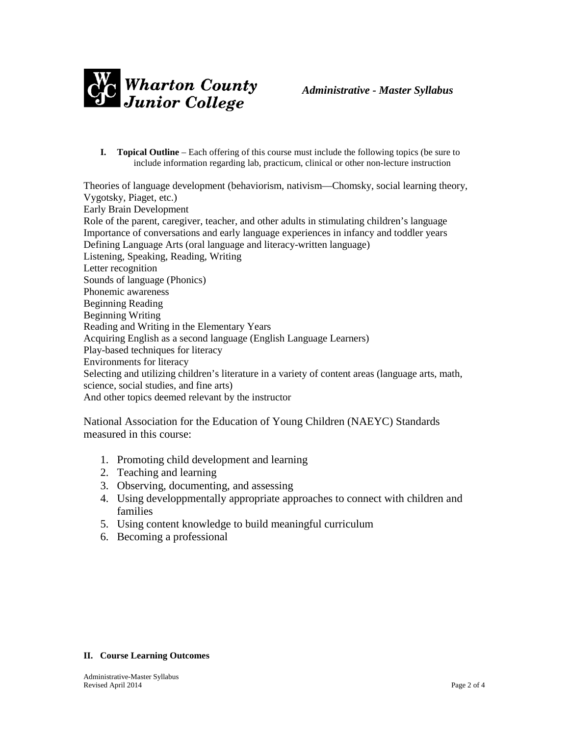

**I. Topical Outline** – Each offering of this course must include the following topics (be sure to include information regarding lab, practicum, clinical or other non-lecture instruction

Theories of language development (behaviorism, nativism—Chomsky, social learning theory, Vygotsky, Piaget, etc.) Early Brain Development Role of the parent, caregiver, teacher, and other adults in stimulating children's language Importance of conversations and early language experiences in infancy and toddler years Defining Language Arts (oral language and literacy-written language) Listening, Speaking, Reading, Writing Letter recognition Sounds of language (Phonics) Phonemic awareness Beginning Reading Beginning Writing Reading and Writing in the Elementary Years Acquiring English as a second language (English Language Learners) Play-based techniques for literacy Environments for literacy Selecting and utilizing children's literature in a variety of content areas (language arts, math, science, social studies, and fine arts) And other topics deemed relevant by the instructor

National Association for the Education of Young Children (NAEYC) Standards measured in this course:

- 1. Promoting child development and learning
- 2. Teaching and learning
- 3. Observing, documenting, and assessing
- 4. Using developpmentally appropriate approaches to connect with children and families
- 5. Using content knowledge to build meaningful curriculum
- 6. Becoming a professional

#### **II. Course Learning Outcomes**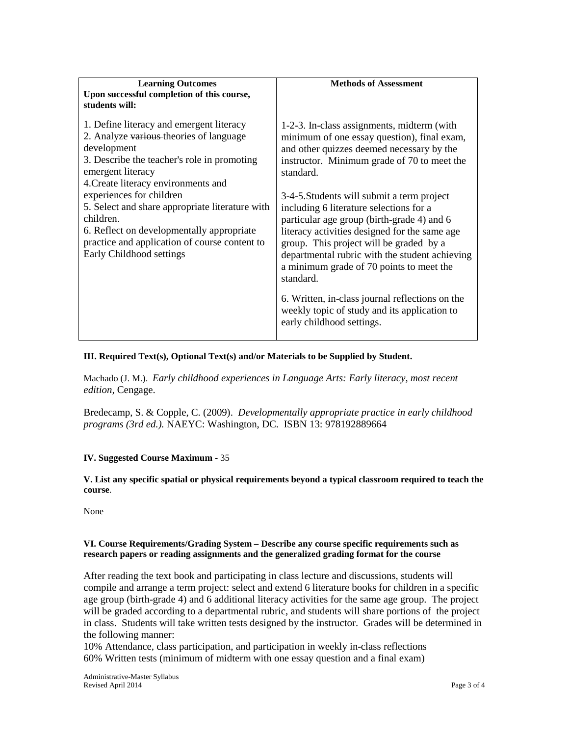| <b>Learning Outcomes</b><br>Upon successful completion of this course,<br>students will:                                                                                                                                                                                                                                                                                                                                            | <b>Methods of Assessment</b>                                                                                                                                                                                                                                                                                                                                                                                                                                                                                                                                                                                                                                                     |
|-------------------------------------------------------------------------------------------------------------------------------------------------------------------------------------------------------------------------------------------------------------------------------------------------------------------------------------------------------------------------------------------------------------------------------------|----------------------------------------------------------------------------------------------------------------------------------------------------------------------------------------------------------------------------------------------------------------------------------------------------------------------------------------------------------------------------------------------------------------------------------------------------------------------------------------------------------------------------------------------------------------------------------------------------------------------------------------------------------------------------------|
| 1. Define literacy and emergent literacy<br>2. Analyze various theories of language<br>development<br>3. Describe the teacher's role in promoting<br>emergent literacy<br>4. Create literacy environments and<br>experiences for children<br>5. Select and share appropriate literature with<br>children.<br>6. Reflect on developmentally appropriate<br>practice and application of course content to<br>Early Childhood settings | 1-2-3. In-class assignments, midterm (with<br>minimum of one essay question), final exam,<br>and other quizzes deemed necessary by the<br>instructor. Minimum grade of 70 to meet the<br>standard.<br>3-4-5. Students will submit a term project<br>including 6 literature selections for a<br>particular age group (birth-grade 4) and 6<br>literacy activities designed for the same age<br>group. This project will be graded by a<br>departmental rubric with the student achieving<br>a minimum grade of 70 points to meet the<br>standard.<br>6. Written, in-class journal reflections on the<br>weekly topic of study and its application to<br>early childhood settings. |

### **III. Required Text(s), Optional Text(s) and/or Materials to be Supplied by Student.**

Machado (J. M.). *Early childhood experiences in Language Arts: Early literacy, most recent edition,* Cengage.

Bredecamp, S. & Copple, C. (2009). *Developmentally appropriate practice in early childhood programs (3rd ed.).* NAEYC: Washington, DC. ISBN 13: 978192889664

### **IV. Suggested Course Maximum** - 35

**V. List any specific spatial or physical requirements beyond a typical classroom required to teach the course**.

None

### **VI. Course Requirements/Grading System – Describe any course specific requirements such as research papers or reading assignments and the generalized grading format for the course**

After reading the text book and participating in class lecture and discussions, students will compile and arrange a term project: select and extend 6 literature books for children in a specific age group (birth-grade 4) and 6 additional literacy activities for the same age group. The project will be graded according to a departmental rubric, and students will share portions of the project in class. Students will take written tests designed by the instructor. Grades will be determined in the following manner:

10% Attendance, class participation, and participation in weekly in-class reflections 60% Written tests (minimum of midterm with one essay question and a final exam)